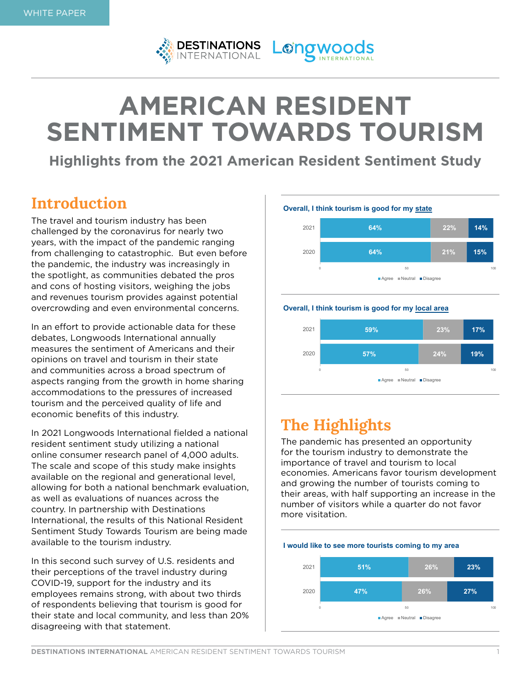



# **AMERICAN RESIDENT SENTIMENT TOWARDS TOURISM**

### **Highlights from the 2021 American Resident Sentiment Study**

# **Introduction**

The travel and tourism industry has been challenged by the coronavirus for nearly two years, with the impact of the pandemic ranging from challenging to catastrophic. But even before the pandemic, the industry was increasingly in the spotlight, as communities debated the pros and cons of hosting visitors, weighing the jobs and revenues tourism provides against potential overcrowding and even environmental concerns.

In an effort to provide actionable data for these debates, Longwoods International annually measures the sentiment of Americans and their opinions on travel and tourism in their state and communities across a broad spectrum of aspects ranging from the growth in home sharing accommodations to the pressures of increased tourism and the perceived quality of life and economic benefits of this industry.

In 2021 Longwoods International fielded a national resident sentiment study utilizing a national online consumer research panel of 4,000 adults. The scale and scope of this study make insights available on the regional and generational level, allowing for both a national benchmark evaluation, as well as evaluations of nuances across the country. In partnership with Destinations International, the results of this National Resident Sentiment Study Towards Tourism are being made available to the tourism industry.

In this second such survey of U.S. residents and their perceptions of the travel industry during COVID-19, support for the industry and its employees remains strong, with about two thirds of respondents believing that tourism is good for their state and local community, and less than 20% disagreeing with that statement.

**Overall, I think tourism is good for my state Overall, I think tourism is good for my state**



### **Overall, I think tourism is good for my local area**



# **The Highlights**

The pandemic has presented an opportunity for the tourism industry to demonstrate the importance of travel and tourism to local economies. Americans favor tourism development and growing the number of tourists coming to their areas, with half supporting an increase in the number of visitors while a quarter do not favor manner of visitors write a quar-**THOLE VISICATION** 



### **I would like to see more tourists coming to my area**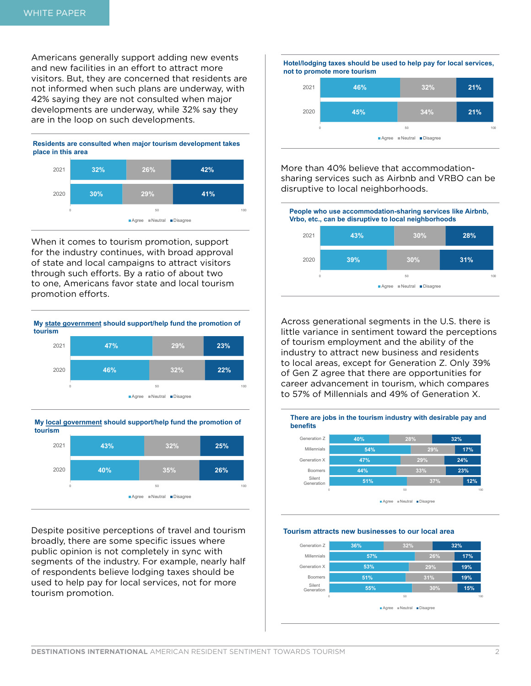Americans generally support adding new events and new facilities in an effort to attract more visitors. But, they are concerned that residents are not informed when such plans are underway, with 42% saying they are not consulted when major developments are underway, while 32% say they **Tourism Development and Growth** are in the loop on such developments.



When it comes to tourism promotion, support for the industry continues, with broad approval of state and local campaigns to attract visitors through such efforts. By a ratio of about two to one, Americans favor state and local tourism promotion efforts. **Tourism Promotion Tourism Promotion**

**My state government should support/help fund the promotion of tourism**

**My state government should support/help fund the promotion of** 



**My local government should support/help fund the promotion of** 



Despite positive perceptions of travel and tourism broadly, there are some specific issues where public opinion is not completely in sync with segments of the industry. For example, nearly half of respondents believe lodging taxes should be used to help pay for local services, not for more tourism promotion.

Hotel/lodging taxes should be used to help pay for local services, **not to promote more tourism**

**Hotel/lodging taxes should be used to help pay for local services,** 



More than 40% believe that accommodationsharing services such as Airbnb and VRBO can be **Accommodation-Sharing Services** disruptive to local neighborhoods.



Across generational segments in the U.S. there is little variance in sentiment toward the perceptions of tourism employment and the ability of the industry to attract new business and residents to local areas, except for Generation Z. Only 39% of Gen Z agree that there are opportunities for career advancement in tourism, which compares to 57% of Millennials and 49% of Generation X.



### **There are jobs in the tourism industry with desirable pay and There are jobs in the tourism industry with desirable pay and benefits benefits**

**Tourism attracts new businesses to our local area Tourism attracts new businesses to our local area**

**Generational Comparisons**



Agree Neutral Disagree